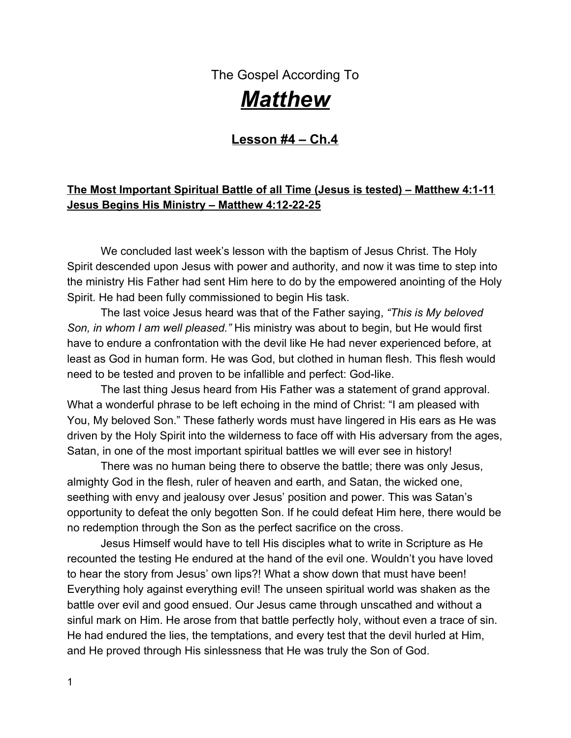The Gospel According To

# *Matthew*

### **Lesson #4 – Ch.4**

### **The Most Important Spiritual Battle of all Time (Jesus is tested) – Matthew 4:1-11 Jesus Begins His Ministry – Matthew 4:12-22-25**

We concluded last week's lesson with the baptism of Jesus Christ. The Holy Spirit descended upon Jesus with power and authority, and now it was time to step into the ministry His Father had sent Him here to do by the empowered anointing of the Holy Spirit. He had been fully commissioned to begin His task.

The last voice Jesus heard was that of the Father saying, *"This is My beloved Son, in whom I am well pleased."* His ministry was about to begin, but He would first have to endure a confrontation with the devil like He had never experienced before, at least as God in human form. He was God, but clothed in human flesh. This flesh would need to be tested and proven to be infallible and perfect: God-like.

The last thing Jesus heard from His Father was a statement of grand approval. What a wonderful phrase to be left echoing in the mind of Christ: "I am pleased with You, My beloved Son." These fatherly words must have lingered in His ears as He was driven by the Holy Spirit into the wilderness to face off with His adversary from the ages, Satan, in one of the most important spiritual battles we will ever see in history!

There was no human being there to observe the battle; there was only Jesus, almighty God in the flesh, ruler of heaven and earth, and Satan, the wicked one, seething with envy and jealousy over Jesus' position and power. This was Satan's opportunity to defeat the only begotten Son. If he could defeat Him here, there would be no redemption through the Son as the perfect sacrifice on the cross.

Jesus Himself would have to tell His disciples what to write in Scripture as He recounted the testing He endured at the hand of the evil one. Wouldn't you have loved to hear the story from Jesus' own lips?! What a show down that must have been! Everything holy against everything evil! The unseen spiritual world was shaken as the battle over evil and good ensued. Our Jesus came through unscathed and without a sinful mark on Him. He arose from that battle perfectly holy, without even a trace of sin. He had endured the lies, the temptations, and every test that the devil hurled at Him, and He proved through His sinlessness that He was truly the Son of God.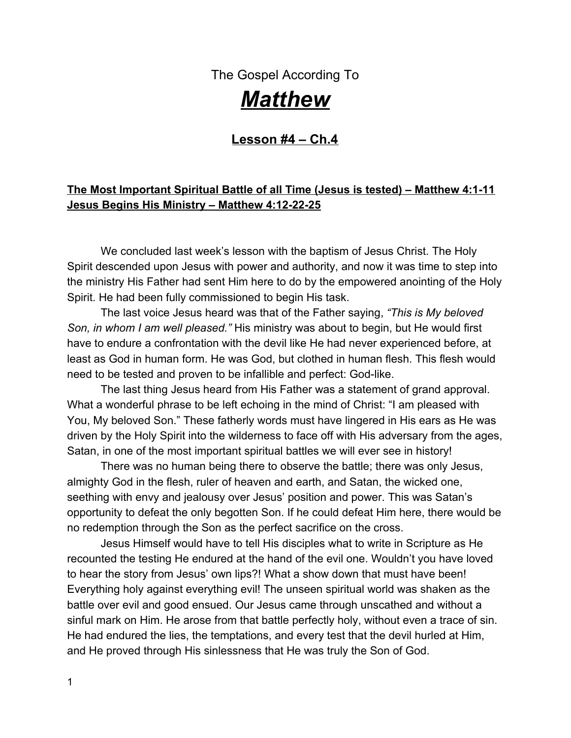As we read the story of this spiritual battle, I'm praying we will learn from Jesus' strategy with the devil. It would be good for us to mimic His patterns for success because our battles with the devil will be ongoing until we shed this body and are with the Lord. In this chapter of Matthew, Jesus reveals His victory secrets!

Pay attention, good friend!

#### **Pray with me:**

Lord, open my eyes to the secrets of Your Word. Show me how to battle the evil one with godly wisdom and strategy. Help me to not be ignorant of my adversary and his evil ways. Make me a wise soldier in this spiritual battle we fight daily. Help me to learn from our example and victor, Jesus Christ. Give me victory over the tempter, and help me to see through his deceit and cunning alternatives to your plans for my life. Yes, he is the god of this world, but You oh Lord, are the King of Kings and ruler of heaven and earth! There is no God like the God of Israel – my God! All power and authority are Yours oh God, and I worship You with my life. I serve You, my chosen King. Help me to live my days in step with Your voice and close my ears to the deceitful calls of the tempter. Amen

We are about to read the story of the most important spiritual battle ever fought. The devil is conquered by the Son of God, and I'm sure Satan squirms and trembles every time a child of God recounts the time Jesus defeated Satan in the wilderness! I know he hates the fact that this account is written here in Matthew Ch. 4 for all to see. His defeat is recorded in the pages of Scripture and recounted over and over by every student of the Word. Praise the Lord that He has the power to defeat our enemy! The God of this world was defeated by the King of Kings that day and forever more!

#### ➜**Read Matthew 4:1-11**

Many of your bibles use the word "**temptation**" in these verses instead of "**testing**." The word "tempt" in the Greek is the word "*perazein."* In the original, it actually means to *test* more than to tempt. It includes in the definition: tried and searched, *raised to dignity*; like a genuine diamond is "tested" to prove it is perfect, not to show it's a phony. The English word "tempt" carries with it the thought to entice man to do wrong. The Lord never tempts any man to do wrong. He would never entice anyone to do evil (James 1:13).

For that reason, I prefer the word "test" when referring to the battle in the wilderness between Jesus and Satan; otherwise, I seem to carry in my mind the thought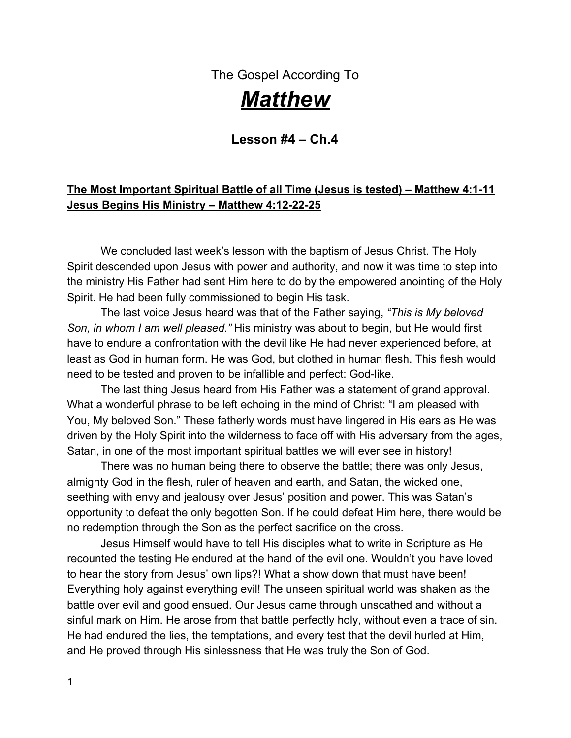that the Holy Spirit led Jesus into the wilderness to be "tempted," and that doesn't square with Scripture or the character of God who would never tempt anyone to sin.

# **We do find other places in the Word that people of God were tested.**

1. Read the story of Abraham and his son Isaac. Abraham was willing to sacrifice his son for the Lord if that was God's will. In Genesis 22:1 it says "God "tested" Abraham. Why do you think the Lord did that (v.12)?

\_\_\_\_\_\_\_\_\_\_\_\_\_\_\_\_\_\_\_\_\_\_\_\_\_\_\_\_\_\_\_\_\_\_\_\_\_\_\_\_\_\_\_\_\_\_\_\_\_\_\_\_\_\_\_\_\_\_\_\_\_\_\_\_\_\_\_\_\_\_ \_\_\_\_\_\_\_\_\_\_\_\_\_\_\_\_\_\_\_\_\_\_\_\_\_\_\_\_\_\_\_\_\_\_\_\_\_\_\_\_\_\_\_\_\_\_\_\_\_\_\_\_\_\_\_\_\_\_\_\_\_\_\_\_\_\_\_\_\_\_

God's words to Abraham, "Take your son, whom you love, and go and offer him as a burnt offering on the mountain," were the supreme test of loyalty for Abraham!

# **Cod often tests our loyalty to Him through trials and testing.**

James says that testing is in our life for GOOD! It brings us to maturity and completion in Christ (James 1:1-4). It causes us to see where our own loyalties really lie.

2. Have you ever thought you were deeply loyal to the Lord, but then a time of testing came and you were able to see just how shallow your faith really was?

\_\_\_\_\_\_\_\_\_\_\_\_\_\_\_\_\_\_\_\_\_\_\_\_\_\_\_\_\_\_\_\_\_\_\_\_\_\_\_\_\_\_\_\_\_\_\_\_\_\_\_\_\_\_\_\_\_\_\_\_\_\_\_\_\_\_\_\_\_\_

\_\_\_\_\_\_\_\_\_\_\_\_\_\_\_\_\_\_\_\_\_\_\_\_\_\_\_\_\_\_\_\_\_\_\_\_\_\_\_\_\_\_\_\_\_\_\_\_\_\_\_\_\_\_\_\_\_\_\_\_\_\_\_\_\_\_\_\_\_\_ \_\_\_\_\_\_\_\_\_\_\_\_\_\_\_\_\_\_\_\_\_\_\_\_\_\_\_\_\_\_\_\_\_\_\_\_\_\_\_\_\_\_\_\_\_\_\_\_\_\_\_\_\_\_\_\_\_\_\_\_\_\_\_\_\_\_\_\_\_\_

\_\_\_\_\_\_\_\_\_\_\_\_\_\_\_\_\_\_\_\_\_\_\_\_\_\_\_\_\_\_\_\_\_\_\_\_\_\_\_\_\_\_\_\_\_\_\_\_\_\_\_\_\_\_\_\_\_\_\_\_\_\_\_\_\_\_\_\_\_\_

\_\_\_\_\_\_\_\_\_\_\_\_\_\_\_\_\_\_\_\_\_\_\_\_\_\_\_\_\_\_\_\_\_\_\_\_\_\_\_\_\_\_\_\_\_\_\_\_\_\_\_\_\_\_\_\_\_\_\_\_\_\_\_\_\_\_\_\_\_\_ \_\_\_\_\_\_\_\_\_\_\_\_\_\_\_\_\_\_\_\_\_\_\_\_\_\_\_\_\_\_\_\_\_\_\_\_\_\_\_\_\_\_\_\_\_\_\_\_\_\_\_\_\_\_\_\_\_\_\_\_\_\_\_\_\_\_\_\_\_\_ \_\_\_\_\_\_\_\_\_\_\_\_\_\_\_\_\_\_\_\_\_\_\_\_\_\_\_\_\_\_\_\_\_\_\_\_\_\_\_\_\_\_\_\_\_\_\_\_\_\_\_\_\_\_\_\_\_\_\_\_\_\_\_\_\_\_\_\_\_\_

When?

What was your greatest challenge at that point?

3. How did God use that trial to test your faith and make it stronger?

4. Have you ever encountered the opposite? A trial came, and by the grace of God you were able to endure the trial with peace in your heart that all will be well?

\_\_\_\_\_\_\_\_\_\_\_\_\_\_\_\_\_\_\_\_\_\_\_\_\_\_\_\_\_\_\_\_\_\_\_\_\_\_\_\_\_\_\_\_\_\_\_\_\_\_\_\_\_\_\_\_\_\_\_\_\_\_\_\_\_\_\_\_\_\_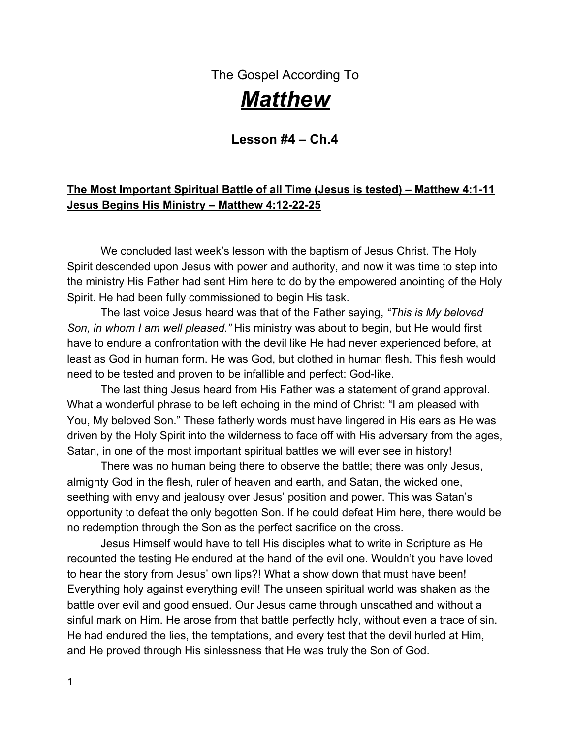Our trials are good at revealing the depth of our faith. He knows when we need to exercise our faith muscles to bring about maturity.

# ● Hudson Taylor said, "All our difficulties are only platforms for the *manifestation of His power, grace and love."*

\_\_\_\_\_\_\_\_\_\_\_\_\_\_\_\_\_\_\_\_\_\_\_\_\_\_\_\_\_\_\_\_\_\_\_\_\_\_\_\_\_\_\_\_\_\_\_\_\_\_\_\_\_\_\_\_\_\_\_\_\_\_\_\_\_\_\_\_\_\_ \_\_\_\_\_\_\_\_\_\_\_\_\_\_\_\_\_\_\_\_\_\_\_\_\_\_\_\_\_\_\_\_\_\_\_\_\_\_\_\_\_\_\_\_\_\_\_\_\_\_\_\_\_\_\_\_\_\_\_\_\_\_\_\_\_\_\_\_\_\_ \_\_\_\_\_\_\_\_\_\_\_\_\_\_\_\_\_\_\_\_\_\_\_\_\_\_\_\_\_\_\_\_\_\_\_\_\_\_\_\_\_\_\_\_\_\_\_\_\_\_\_\_\_\_\_\_\_\_\_\_\_\_\_\_\_\_\_\_\_\_

### *Platforms are built to raise something up to a higher level for all to see.*

*Has God allowed your personal trial to be exposed in order to bring Him higher glory? Are you being raised up as an example of God's miracle about to happen? As uncomfortable as this testing time might be – perhaps part of the reason He's allowing this in your life is to show His power through your struggle! Being on stage isn't always the place one wants to be, but if others can gain strength through your story, and God's faithfulness to us can be exalted, can you endure it?*

This trial may be a unique opportunity for all to watch your life and see how the Lord is going to perform His will in and through you! They are watching your attitude, your faith, and your joy in the midst of the trial and where you place your hope. Glorify God on that platform!!! He has given you an opportunity to *shout* to others: "Yes, God is faithful! Yes, God is dependable! Yes, He is all wise!" when many times our ordinary life is just a whisper…..

# **●** You see, to suffer for Christ is a privilege for the believer; it's an opportunity *to demonstrate beyond mistake where our loyalties lie*.

Use this time as your mega-phone to shout, "We serve an extraordinary God, one who does far more than you've prayed or expected!" "Don't resist His ways, but continue to trust Him!

\*Satan **tempts** us to do evil…*God means testing for good.*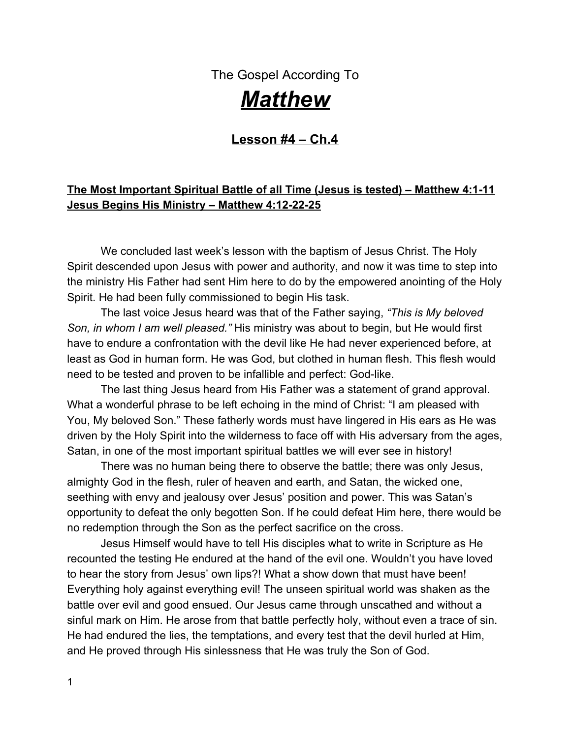God also uses our struggles as an instrument in His hand to bring us to maturity as Christians. When the pressure is on He exposes ungodliness in our life such as: Unforgiveness Selfishness Pride Self-sufficiency Stubbornness Mediocrity Negativity **Meddling** 

*As those ungodly character traits diminish through the process of asking forgiveness and having a willingness to change, maturity rises. God's way is to mature the believer through navigating through struggles.*

Back in Matthew Ch.4:1, we see that Jesus *was led* up by the Spirit into the wilderness to be tempted by the devil.

Mark says it a little differently in his account in Mark 1:12 (NKJ). Mark said the Spirit *drove* Him into the wilderness! This tells us that God desired that Jesus undergo testing.

That sounds a little strange, doesn't it? Would God really *desire* His only Son to be tried and tested? Yes, in the same way that He allows us to face the same testings. God knew that it would allow Jesus to be victorious over the devil. He also knew that it would be a prelude to Jesus' greatest triumph over the devil and the victory over all sin at the cross. God knew He could glorify himself through His perfect Son, Jesus.

In the same way, every time we are victorious through the power of the Holy Spirit in our trials, we triumph over the devil, and in Jesus' name, Satan is brought to nothing! God's great name is glorified through our victories in Him, and Satan is seen for what he really is: a liar, and not one with equality with almighty God!

5. Jesus was in the wilderness alone. What did He do while He was there seeking God, and what physical condition was He in (Matthew 4:2)?

\_\_\_\_\_\_\_\_\_\_\_\_\_\_\_\_\_\_\_\_\_\_\_\_\_\_\_\_\_\_\_\_\_\_\_\_\_\_\_\_\_\_\_\_\_\_\_\_\_\_\_\_\_\_\_\_\_\_\_\_\_\_\_\_\_\_\_\_\_\_ \_\_\_\_\_\_\_\_\_\_\_\_\_\_\_\_\_\_\_\_\_\_\_\_\_\_\_\_\_\_\_\_\_\_\_\_\_\_\_\_\_\_\_\_\_\_\_\_\_\_\_\_\_\_\_\_\_\_\_\_\_\_\_\_\_\_\_\_\_\_

Some things man has to work out alone. Jesus hid away to fast and seek the Lord because He understood His mission was about to begin. He felt the Holy Spirit's empowerment to do the work of the ministry, and He wanted to get direction from His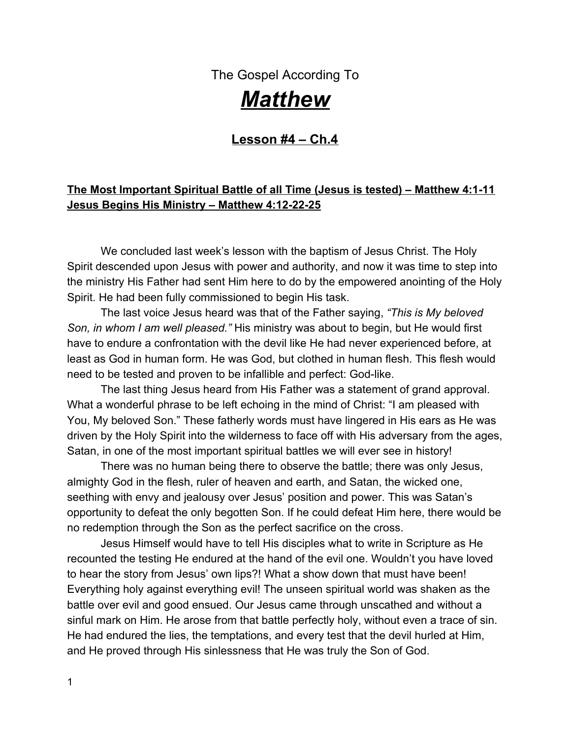Father in heaven. He didn't need the opinion of another man; He needed His Father's direction. He needed alone time to hear from God.

6. We often come to a place in our lives that demand alone time with our Father in heaven. We are thankful for friends and the church to support us, but there is nothing like hearing from God Himself. He speaks to us like no one else can speak. Are you weak today like Jesus was after his 40 day fast? Do you feel empty, drained of emotion, and lacking direction? Sit alone with your Father in heaven for just these few moments. Sit quietly; not speaking, only listening. Then respond below what the Spirit spoke to your heart.

\_\_\_\_\_\_\_\_\_\_\_\_\_\_\_\_\_\_\_\_\_\_\_\_\_\_\_\_\_\_\_\_\_\_\_\_\_\_\_\_\_\_\_\_\_\_\_\_\_\_\_\_\_\_\_\_\_\_\_\_\_\_\_\_\_\_\_\_\_\_ \_\_\_\_\_\_\_\_\_\_\_\_\_\_\_\_\_\_\_\_\_\_\_\_\_\_\_\_\_\_\_\_\_\_\_\_\_\_\_\_\_\_\_\_\_\_\_\_\_\_\_\_\_\_\_\_\_\_\_\_\_\_\_\_\_\_\_\_\_\_ \_\_\_\_\_\_\_\_\_\_\_\_\_\_\_\_\_\_\_\_\_\_\_\_\_\_\_\_\_\_\_\_\_\_\_\_\_\_\_\_\_\_\_\_\_\_\_\_\_\_\_\_\_\_\_\_\_\_\_\_\_\_\_\_\_\_\_\_\_\_ \_\_\_\_\_\_\_\_\_\_\_\_\_\_\_\_\_\_\_\_\_\_\_\_\_\_\_\_\_\_\_\_\_\_\_\_\_\_\_\_\_\_\_\_\_\_\_\_\_\_\_\_\_\_\_\_\_\_\_\_\_\_\_\_\_\_\_\_\_\_ \_\_\_\_\_\_\_\_\_\_\_\_\_\_\_\_\_\_\_\_\_\_\_\_\_\_\_\_\_\_\_\_\_\_\_\_\_\_\_\_\_\_\_\_\_\_\_\_\_\_\_\_\_\_\_\_\_\_\_\_\_\_\_\_\_\_\_\_\_\_

\_\_\_\_\_\_\_\_\_\_\_\_\_\_\_\_\_\_\_\_\_\_\_\_\_\_\_\_\_\_\_\_\_\_\_\_\_\_\_\_\_\_\_\_\_\_\_\_\_\_\_\_\_\_\_\_\_\_\_\_\_\_\_\_\_\_\_\_\_\_ \_\_\_\_\_\_\_\_\_\_\_\_\_\_\_\_\_\_\_\_\_\_\_\_\_\_\_\_\_\_\_\_\_\_\_\_\_\_\_\_\_\_\_\_\_\_\_\_\_\_\_\_\_\_\_\_\_\_\_\_\_\_\_\_\_\_\_\_\_\_ \_\_\_\_\_\_\_\_\_\_\_\_\_\_\_\_\_\_\_\_\_\_\_\_\_\_\_\_\_\_\_\_\_\_\_\_\_\_\_\_\_\_\_\_\_\_\_\_\_\_\_\_\_\_\_\_\_\_\_\_\_\_\_\_\_\_\_\_\_\_ \_\_\_\_\_\_\_\_\_\_\_\_\_\_\_\_\_\_\_\_\_\_\_\_\_\_\_\_\_\_\_\_\_\_\_\_\_\_\_\_\_\_\_\_\_\_\_\_\_\_\_\_\_\_\_\_\_\_\_\_\_\_\_\_\_\_\_\_\_\_

Did He comfort your soul with a thought, a truth, or a promise? Share with your group.

We left Jesus in the wilderness; let's get back there. Satan is about to rise up in battle for the purpose of tempting Jesus to fail.

The tempter comes to Jesus with a weird thought.

Of course, he did!!! Satan is the Master of confusion, one who loves to breed insecurity in our hearts while he spins fallacious details in our heads!

\_\_\_\_\_\_\_\_\_\_\_\_\_\_\_\_\_\_\_\_\_\_\_\_\_\_\_\_\_\_\_\_\_\_\_\_\_\_\_\_\_\_\_\_\_\_\_\_\_\_\_\_\_\_\_\_\_\_\_\_\_\_\_\_\_\_\_\_\_\_

7. What did Satan try to entice Jesus to do (Matthew 4:3)?

The wilderness where Jesus had been camped out for the last 40 days was somewhere between Jerusalem and the Dead Sea. It was a land of crumbling limestone, yellow sand, and hills of dust heaps. There were jagged cliffs with crags and peeling rocks that stretched to the Dead Sea. It was hot and miserable with no fresh greenery in sight; it was not a very comfortable place. He had been there with no food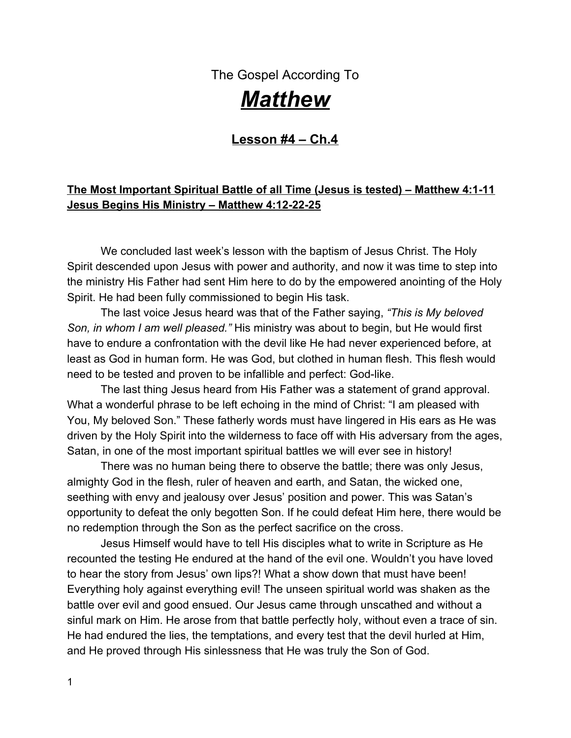for forty days and nights, and even though He was God in the flesh, His flesh was like our flesh: it was weak, it was hungry, and it was needy.

As Satan looked out over the rocks of limestone that were scattered out over the sand in front of Jesus, he simply tempted Him to turn a few of those rocks into bread, something that would quickly satisfy His flesh.

# **1 st Testing**

# **The devil was basically tempting Jesus to** *use His own divine powers to serve His own self interest***. He wanted Jesus to prove in a way (that wasn't God's way) that He was truly the Son of God. Jesus had set aside His power in an act of humiliation.**

Satan suggested to Jesus to use His own divine powers to supply what the Father had not (food).

8. Does that thought sound familiar? Does the idea to do things *your way* and not wait upon the Lord sound like something you've heard before? Satan's tricks are old ones. The same thing he tempted Jesus with is what he pulls out of his dirty little sack to entice us with. His suggestion to use our own power to attain is an attempt to get our eyes off the Lord.

When was the last time you bought into that lie? What happened? Did you wait upon God for His provision or did you settle for a quick counterfeit?

\_\_\_\_\_\_\_\_\_\_\_\_\_\_\_\_\_\_\_\_\_\_\_\_\_\_\_\_\_\_\_\_\_\_\_\_\_\_\_\_\_\_\_\_\_\_\_\_\_\_\_\_\_\_\_\_\_\_\_\_\_\_\_\_\_\_\_\_\_\_ \_\_\_\_\_\_\_\_\_\_\_\_\_\_\_\_\_\_\_\_\_\_\_\_\_\_\_\_\_\_\_\_\_\_\_\_\_\_\_\_\_\_\_\_\_\_\_\_\_\_\_\_\_\_\_\_\_\_\_\_\_\_\_\_\_\_\_\_\_\_ \_\_\_\_\_\_\_\_\_\_\_\_\_\_\_\_\_\_\_\_\_\_\_\_\_\_\_\_\_\_\_\_\_\_\_\_\_\_\_\_\_\_\_\_\_\_\_\_\_\_\_\_\_\_\_\_\_\_\_\_\_\_\_\_\_\_\_\_\_\_

9. Satan wanted Jesus to demonstrate His divine power and serve Himself first. This is exactly opposite of what Jesus was sent here to do: to be a servant and give His life as a ransom for many (Philip. 2:7). If Satan would have been victorious here, Jesus' testimony would have been shattered. What was Jesus' response to Satan (Matthew 4:4)?

\_\_\_\_\_\_\_\_\_\_\_\_\_\_\_\_\_\_\_\_\_\_\_\_\_\_\_\_\_\_\_\_\_\_\_\_\_\_\_\_\_\_\_\_\_\_\_\_\_\_\_\_\_\_\_\_\_\_\_\_\_\_\_\_\_\_\_\_\_\_ \_\_\_\_\_\_\_\_\_\_\_\_\_\_\_\_\_\_\_\_\_\_\_\_\_\_\_\_\_\_\_\_\_\_\_\_\_\_\_\_\_\_\_\_\_\_\_\_\_\_\_\_\_\_\_\_\_\_\_\_\_\_\_\_\_\_\_\_\_\_ \_\_\_\_\_\_\_\_\_\_\_\_\_\_\_\_\_\_\_\_\_\_\_\_\_\_\_\_\_\_\_\_\_\_\_\_\_\_\_\_\_\_\_\_\_\_\_\_\_\_\_\_\_\_\_\_\_\_\_\_\_\_\_\_\_\_\_\_\_\_

Jesus began with an appeal to God's Word. We can learn from that! We should model Jesus in times of spiritual battle. See how Jesus does battle with our adversary?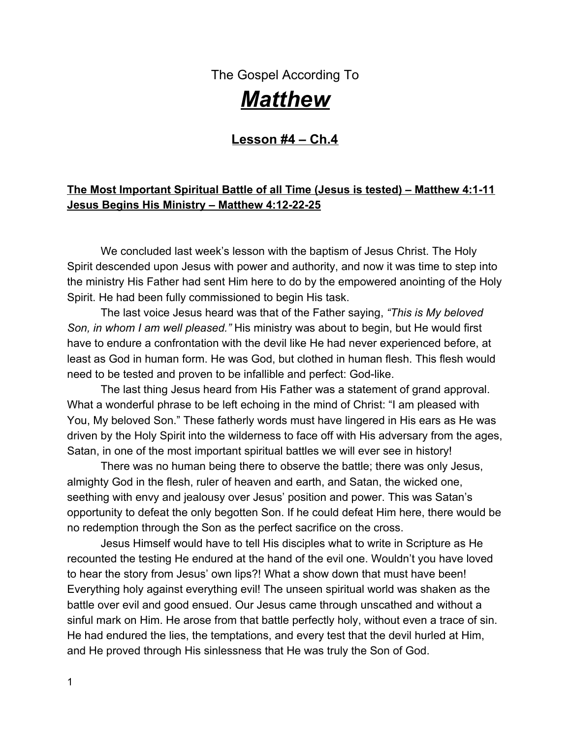He holds God's Word up and swings it like a good right hook:"powey," right between his eyes! It's a knockout! The Word of God is displayed! Satan is on the floor with a 10 count. There is power in the phrase," **It is written**!!!"

God's response to Satan was, "Scripture says, no one can live on food alone, people need every word God has spoken to them." He quoted Deuteronomy 8:3. He gave him the law of the Lord written hundreds of years before.

9. In Deuteronomy 8:1-4, what did the Lord want the people of Israel to remember about their 40 years in the wilderness? Why did God allow this testing and what did He want them to remember?

\_\_\_\_\_\_\_\_\_\_\_\_\_\_\_\_\_\_\_\_\_\_\_\_\_\_\_\_\_\_\_\_\_\_\_\_\_\_\_\_\_\_\_\_\_\_\_\_\_\_\_\_\_\_\_\_\_\_\_\_\_\_\_\_\_\_\_\_\_\_ \_\_\_\_\_\_\_\_\_\_\_\_\_\_\_\_\_\_\_\_\_\_\_\_\_\_\_\_\_\_\_\_\_\_\_\_\_\_\_\_\_\_\_\_\_\_\_\_\_\_\_\_\_\_\_\_\_\_\_\_\_\_\_\_\_\_\_\_\_\_ \_\_\_\_\_\_\_\_\_\_\_\_\_\_\_\_\_\_\_\_\_\_\_\_\_\_\_\_\_\_\_\_\_\_\_\_\_\_\_\_\_\_\_\_\_\_\_\_\_\_\_\_\_\_\_\_\_\_\_\_\_\_\_\_\_\_\_\_\_\_

Jesus was quoting His Father in heaven. He was swinging around God's Word. The New Testament calls it the sword of the Spirit.

11. Jesus knew His opponent very well. He defeated him with the Word of God. Turn to Ephesians 6:10-16. *Spiritual battle is non-negotiable for the believer*. What does the victorious believer trust in according to Ephesians 6:10?

\_\_\_\_\_\_\_\_\_\_\_\_\_\_\_\_\_\_\_\_\_\_\_\_\_\_\_\_\_\_\_\_\_\_\_\_\_\_\_\_\_\_\_\_\_\_\_\_\_\_\_\_\_\_\_\_\_\_\_\_\_\_\_\_\_\_\_\_\_\_ \_\_\_\_\_\_\_\_\_\_\_\_\_\_\_\_\_\_\_\_\_\_\_\_\_\_\_\_\_\_\_\_\_\_\_\_\_\_\_\_\_\_\_\_\_\_\_\_\_\_\_\_\_\_\_\_\_\_\_\_\_\_\_\_\_\_\_\_\_\_

a. Who is your true enemy? Is it the family member that spoke some unkind words to you, or your insensitive husband, or that friend that didn't stand up for you? Who does your real battle lie with (v.12)? Remember, it isn't your Mother-in-law or the neighbor that pokes fun at your relationship with Jesus.

\_\_\_\_\_\_\_\_\_\_\_\_\_\_\_\_\_\_\_\_\_\_\_\_\_\_\_\_\_\_\_\_\_\_\_\_\_\_\_\_\_\_\_\_\_\_\_\_\_\_\_\_\_\_\_\_\_\_\_\_\_\_\_\_\_\_\_\_\_\_ \_\_\_\_\_\_\_\_\_\_\_\_\_\_\_\_\_\_\_\_\_\_\_\_\_\_\_\_\_\_\_\_\_\_\_\_\_\_\_\_\_\_\_\_\_\_\_\_\_\_\_\_\_\_\_\_\_\_\_\_\_\_\_\_\_\_\_\_\_\_ \_\_\_\_\_\_\_\_\_\_\_\_\_\_\_\_\_\_\_\_\_\_\_\_\_\_\_\_\_\_\_\_\_\_\_\_\_\_\_\_\_\_\_\_\_\_\_\_\_\_\_\_\_\_\_\_\_\_\_\_\_\_\_\_\_\_\_\_\_\_

b. Have you been fighting the wrong fight lately? Swinging at the wrong opponent? Tell us about your discovery.\_\_\_\_\_\_\_\_\_\_\_\_\_\_\_\_\_\_\_\_\_\_\_\_\_\_\_\_\_\_\_\_\_\_\_\_\_\_\_\_\_\_\_\_\_\_\_\_\_\_\_\_\_\_\_\_\_\_\_\_\_\_

\_\_\_\_\_\_\_\_\_\_\_\_\_\_\_\_\_\_\_\_\_\_\_\_\_\_\_\_\_\_\_\_\_\_\_\_\_\_\_\_\_\_\_\_\_\_\_\_\_\_\_\_\_\_\_\_\_\_\_\_\_\_\_\_\_\_\_\_\_\_ Understand, believer, that your fight is not with people; it's with the rulers of darkness of

\_\_\_\_\_\_\_\_\_\_\_\_\_\_\_\_\_\_\_\_\_\_\_\_\_\_\_\_\_\_\_\_\_\_\_\_\_\_\_\_\_\_\_\_\_\_\_\_\_\_\_\_\_\_\_\_\_\_\_\_\_\_\_\_\_\_\_\_\_\_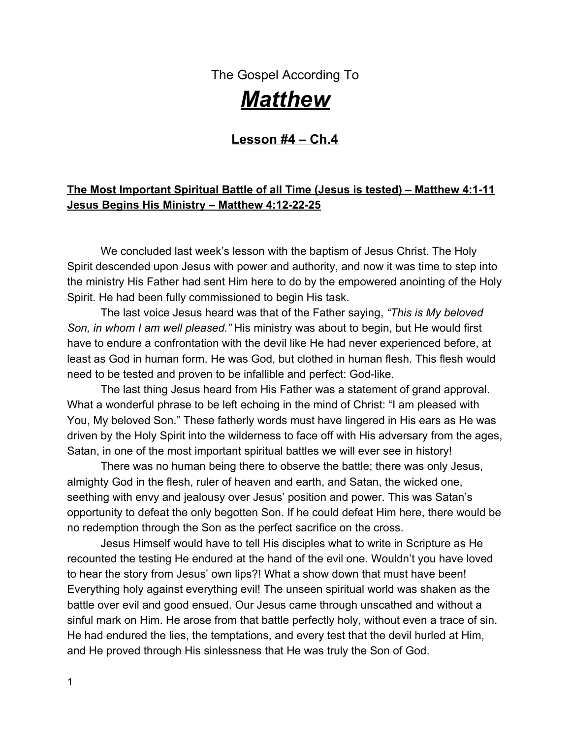this age! The problem is not with one individual; it's with all the evil spiritual beings in the dark places on earth.

\_\_\_\_\_\_\_\_\_\_\_\_\_\_\_\_\_\_\_\_\_\_\_\_\_\_\_\_\_\_\_\_\_\_\_\_\_\_\_\_\_\_\_\_\_\_\_\_\_\_\_\_\_\_\_\_\_\_\_\_\_\_\_\_\_\_\_\_\_\_

c. What is your deadliest weapon as a believer in battle (v.17)?

*C* Never forget – your Bible is a defensive dagger in a spiritual battle!

Jesus knew that. He took out the Sword of God's Word and defeated Satan and all his enticing suggestions that would attempt to draw Jesus into sin.

\_\_\_\_\_\_\_\_\_\_\_\_\_\_\_\_\_\_\_\_\_\_\_\_\_\_\_\_\_\_\_\_\_\_\_\_\_\_\_\_\_\_\_\_\_\_\_\_\_\_\_\_\_\_\_\_\_\_\_\_\_\_\_\_\_\_\_\_\_\_ \_\_\_\_\_\_\_\_\_\_\_\_\_\_\_\_\_\_\_\_\_\_\_\_\_\_\_\_\_\_\_\_\_\_\_\_\_\_\_\_\_\_\_\_\_\_\_\_\_\_\_\_\_\_\_\_\_\_\_\_\_\_\_\_\_\_\_\_\_\_ \_\_\_\_\_\_\_\_\_\_\_\_\_\_\_\_\_\_\_\_\_\_\_\_\_\_\_\_\_\_\_\_\_\_\_\_\_\_\_\_\_\_\_\_\_\_\_\_\_\_\_\_\_\_\_\_\_\_\_\_\_\_\_\_\_\_\_\_\_\_

# **\*When you stand in truth,the battle is over; it's fought and won!**

d. What promise in Scripture do you need to apply to your battle today?

# **2 nd Test**

In Matthew 4:5-7, Satan then tries a second trick Jesus our Lord. He takes Him up into the Holy City and sets Him on the pinnacle of the temple and says, "If you are the Son of God, throw Yourself down. For it is written, 'He shall give His angels charge concerning you.'"

Wow… that's interesting. Satan himself is trying to use Scripture (the sword) to come back at Jesus. (I guess he concluded that if it worked for Christ, it could work for him). He twisted the Scripture's meaning, employing a passage about *trusting* God to justify *testing* Him. He was setting Him up with a Scriptural test. The problem was that Satan didn't quote Scripture accurately. He took it out of context. Jesus corrects him in v.7 as He says, "It is written AGAIN, 'You shall not tempt the Lord your God.'"

12. What is the context of this Scripture found in Psalm 91:9-16? In other words, who is God protecting and why (Hint: see v.9, v.14, v.15)?

\_\_\_\_\_\_\_\_\_\_\_\_\_\_\_\_\_\_\_\_\_\_\_\_\_\_\_\_\_\_\_\_\_\_\_\_\_\_\_\_\_\_\_\_\_\_\_\_\_\_\_\_\_\_\_\_\_\_\_\_\_\_\_\_\_\_\_\_\_\_ \_\_\_\_\_\_\_\_\_\_\_\_\_\_\_\_\_\_\_\_\_\_\_\_\_\_\_\_\_\_\_\_\_\_\_\_\_\_\_\_\_\_\_\_\_\_\_\_\_\_\_\_\_\_\_\_\_\_\_\_\_\_\_\_\_\_\_\_\_\_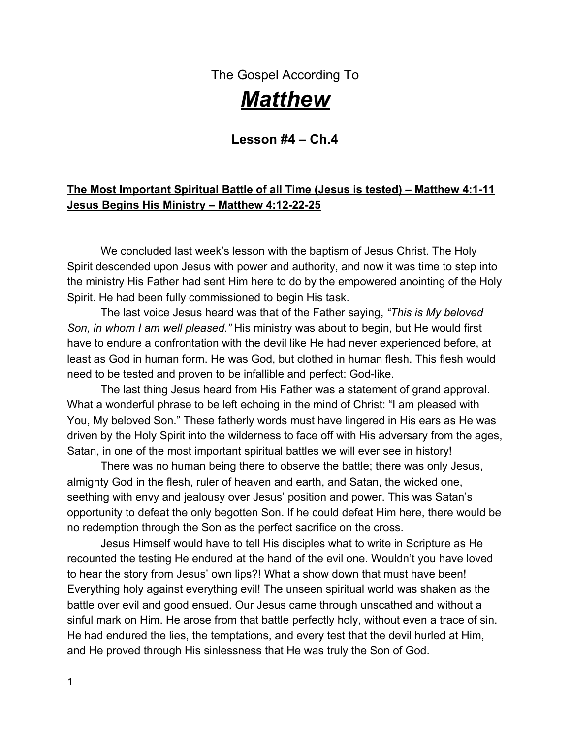Satan was tempting Jesus to find success through sensationalism and self-confidence. Do something dramatic so that the crowds would follow. Josephus said that the pinnacle of the temple could have been the roof over Herod's portico on the eastern side of the temple, which overlooked the Kidron Valley. The drop from this place to the valley floor would have been 450 ft.

\_\_\_\_\_\_\_\_\_\_\_\_\_\_\_\_\_\_\_\_\_\_\_\_\_\_\_\_\_\_\_\_\_\_\_\_\_\_\_\_\_\_\_\_\_\_\_\_\_\_\_\_\_\_\_\_\_\_\_\_\_\_\_\_\_\_\_\_\_ \_\_\_\_\_\_\_\_\_\_\_\_\_\_\_\_\_\_\_\_\_\_\_\_\_\_\_\_\_\_\_\_\_\_\_\_\_\_\_\_\_\_\_\_\_\_\_\_\_\_\_\_\_\_\_\_\_\_\_\_\_\_\_\_\_\_\_\_\_\_

Satan was suggesting that Jesus do something miraculous, like jumping off this high place and allowing His Father in heaven to rescue Him from the fall. This would show that He had to be the Son of God, because who else would be able to perform a miracle like that?

It sounds a little ridiculous to us because we know Jesus had to make His way to the cross. Satan would do anything to avoid the cross, because he knew that is where the real resurrection power would come from.

# **3 rd Test**

Matthew 4:8-11

13. Read v.8. Do you think it's odd that this verse suggests that you can see all the kingdoms of the world from one high mountain? That's impossible. This suggests that this time of testing by the devil was not only physical (not only what He could see), but it was a battle of Jesus' heart, mind, and soul. This third attack was more of a battle within. It was an inner struggle, a test of pride and personal ambition.

Satan was suggesting that Jesus compromise with evil as a means of obtaining His goal. If the goal was worldly popularity and kingdom followers, then Satan suggested, "I can give you the world!" The temptation was to avoid loyalty to the Father in heaven; avoid all the conflict, avoid the tears, pain, and the suffering of the cross. I can give you the crown now! If you demonstrate Your power in a sensational way, people will surely follow You out of fear, and the world can be yours.

a. Jesus' route was to be so different. Write out the description of what lie ahead for our Savior (Isaiah 53:10-12).

\_\_\_\_\_\_\_\_\_\_\_\_\_\_\_\_\_\_\_\_\_\_\_\_\_\_\_\_\_\_\_\_\_\_\_\_\_\_\_\_\_\_\_\_\_\_\_\_\_\_\_\_\_\_\_\_\_\_\_\_\_\_\_\_\_\_\_\_\_\_ \_\_\_\_\_\_\_\_\_\_\_\_\_\_\_\_\_\_\_\_\_\_\_\_\_\_\_\_\_\_\_\_\_\_\_\_\_\_\_\_\_\_\_\_\_\_\_\_\_\_\_\_\_\_\_\_\_\_\_\_\_\_\_\_\_\_\_\_\_\_ \_\_\_\_\_\_\_\_\_\_\_\_\_\_\_\_\_\_\_\_\_\_\_\_\_\_\_\_\_\_\_\_\_\_\_\_\_\_\_\_\_\_\_\_\_\_\_\_\_\_\_\_\_\_\_\_\_\_\_\_\_\_\_\_\_\_\_\_\_\_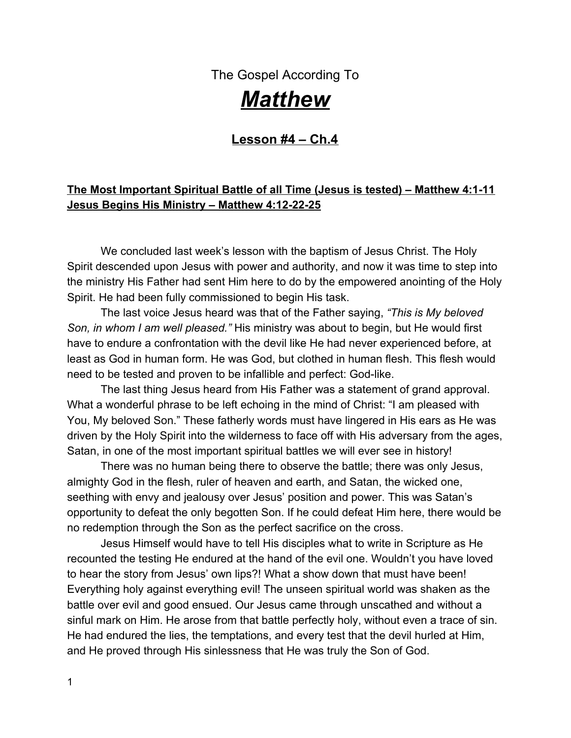b. How often does Satan suggest we compromise? All the time! That little deceiver always speaks lies of compromise to you and I when things are a little tough, when answers to prayers are coming slow, or when we are tired of waiting for something to happen.

\_\_\_\_\_\_\_\_\_\_\_\_\_\_\_\_\_\_\_\_\_\_\_\_\_\_\_\_\_\_\_\_\_\_\_\_\_\_\_\_\_\_\_\_\_\_\_\_\_\_\_\_\_\_\_\_\_\_\_\_\_\_\_\_\_\_\_\_\_\_ \_\_\_\_\_\_\_\_\_\_\_\_\_\_\_\_\_\_\_\_\_\_\_\_\_\_\_\_\_\_\_\_\_\_\_\_\_\_\_\_\_\_\_\_\_\_\_\_\_\_\_\_\_\_\_\_\_\_\_\_\_\_\_\_\_\_\_\_\_\_ \_\_\_\_\_\_\_\_\_\_\_\_\_\_\_\_\_\_\_\_\_\_\_\_\_\_\_\_\_\_\_\_\_\_\_\_\_\_\_\_\_\_\_\_\_\_\_\_\_\_\_\_\_\_\_\_\_\_\_\_\_\_\_\_\_\_\_\_\_\_

\_\_\_\_\_\_\_\_\_\_\_\_\_\_\_\_\_\_\_\_\_\_\_\_\_\_\_\_\_\_\_\_\_\_\_\_\_\_\_\_\_\_\_\_\_\_\_\_\_\_\_\_\_\_\_\_\_\_\_\_\_\_\_\_\_\_\_\_\_\_ \_\_\_\_\_\_\_\_\_\_\_\_\_\_\_\_\_\_\_\_\_\_\_\_\_\_\_\_\_\_\_\_\_\_\_\_\_\_\_\_\_\_\_\_\_\_\_\_\_\_\_\_\_\_\_\_\_\_\_\_\_\_\_\_\_\_\_\_\_\_

What was the last thing Satan tempted you to compromise with?

Satan offers us the world on his own corrupt terms. It always costs us our holiness as we accept his compromise. The promise that Satan lays out ahead of us is that we can have what we want now- why wait for what is rightfully yours? All we have to do is to go after the things we want the way the world does with the same selfishness, pride, superior attitude, and "it's all about me" mind-set.

14. Self-will is Satan's will and the opposite of God's will. What is the will of God for us as believers (Matthew 6:33-34)?

\_\_\_\_\_\_\_\_\_\_\_\_\_\_\_\_\_\_\_\_\_\_\_\_\_\_\_\_\_\_\_\_\_\_\_\_\_\_\_\_\_\_\_\_\_\_\_\_\_\_\_\_\_\_\_\_\_\_\_\_\_\_\_\_\_\_\_\_\_\_ \_\_\_\_\_\_\_\_\_\_\_\_\_\_\_\_\_\_\_\_\_\_\_\_\_\_\_\_\_\_\_\_\_\_\_\_\_\_\_\_\_\_\_\_\_\_\_\_\_\_\_\_\_\_\_\_\_\_\_\_\_\_\_\_\_\_\_\_\_\_

Satan is a counterfeiter. He seems to offer what God does, but his price is much cheaper! The counterfeit is easier up front, but in the end, you find it's really only a counterfeit and nowhere near the result you longed for.

\_\_\_\_\_\_\_\_\_\_\_\_\_\_\_\_\_\_\_\_\_\_\_\_\_\_\_\_\_\_\_\_\_\_\_\_\_\_\_\_\_\_\_\_\_\_\_\_\_\_\_\_\_\_\_\_\_\_\_\_\_\_\_\_\_\_\_\_\_\_ \_\_\_\_\_\_\_\_\_\_\_\_\_\_\_\_\_\_\_\_\_\_\_\_\_\_\_\_\_\_\_\_\_\_\_\_\_\_\_\_\_\_\_\_\_\_\_\_\_\_\_\_\_\_\_\_\_\_\_\_\_\_\_\_\_\_\_\_\_\_ \_\_\_\_\_\_\_\_\_\_\_\_\_\_\_\_\_\_\_\_\_\_\_\_\_\_\_\_\_\_\_\_\_\_\_\_\_\_\_\_\_\_\_\_\_\_\_\_\_\_\_\_\_\_\_\_\_\_\_\_\_\_\_\_\_\_\_\_\_\_

\_\_\_\_\_\_\_\_\_\_\_\_\_\_\_\_\_\_\_\_\_\_\_\_\_\_\_\_\_\_\_\_\_\_\_\_\_\_\_\_\_\_\_\_\_\_\_\_\_\_\_\_\_\_\_\_\_\_\_\_\_\_\_\_\_\_\_\_\_\_ \_\_\_\_\_\_\_\_\_\_\_\_\_\_\_\_\_\_\_\_\_\_\_\_\_\_\_\_\_\_\_\_\_\_\_\_\_\_\_\_\_\_\_\_\_\_\_\_\_\_\_\_\_\_\_\_\_\_\_\_\_\_\_\_\_\_\_\_\_\_

15. Does God delight in allowing us to have nice things (Matthew 7:11)?

a. Psalm 84:11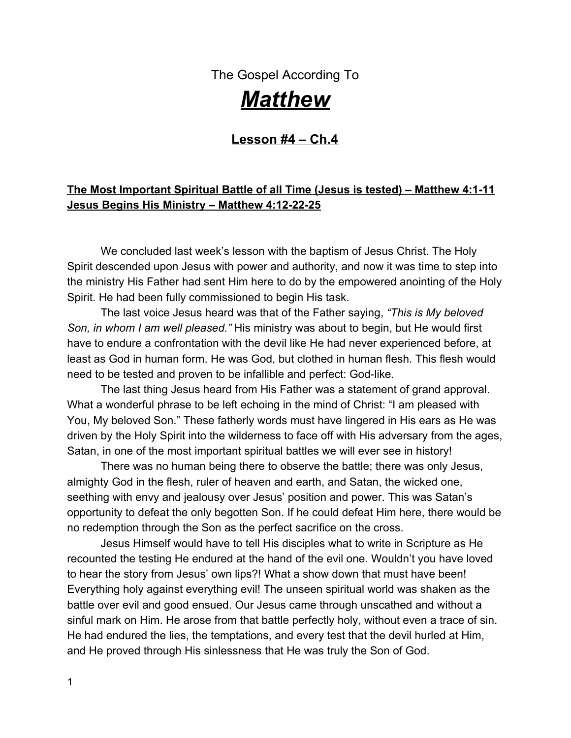### NO GOOD THING WILL HE WITHHOLD!

"Say that out loud 3 times!" Come on let me hear it at my house! We need to know that in our "knower".

### **After all, we are heirs to the Kingdom of Heaven!**

What would you say has been your toughest spiritual battle to date?

\_\_\_\_\_\_\_\_\_\_\_\_\_\_\_\_\_\_\_\_\_\_\_\_\_\_\_\_\_\_\_\_\_\_\_\_\_\_\_\_\_\_\_\_\_\_\_\_\_\_\_\_\_\_\_\_\_\_\_\_\_\_\_\_\_\_\_\_\_\_ \_\_\_\_\_\_\_\_\_\_\_\_\_\_\_\_\_\_\_\_\_\_\_\_\_\_\_\_\_\_\_\_\_\_\_\_\_\_\_\_\_\_\_\_\_\_\_\_\_\_\_\_\_\_\_\_\_\_\_\_\_\_\_\_\_\_\_\_\_\_ \_\_\_\_\_\_\_\_\_\_\_\_\_\_\_\_\_\_\_\_\_\_\_\_\_\_\_\_\_\_\_\_\_\_\_\_\_\_\_\_\_\_\_\_\_\_\_\_\_\_\_\_\_\_\_\_\_\_\_\_\_\_\_\_\_\_\_\_\_\_ \_\_\_\_\_\_\_\_\_\_\_\_\_\_\_\_\_\_\_\_\_\_\_\_\_\_\_\_\_\_\_\_\_\_\_\_\_\_\_\_\_\_\_\_\_\_\_\_\_\_\_\_\_\_\_\_\_\_\_\_\_\_\_\_\_\_\_\_\_\_ \_\_\_\_\_\_\_\_\_\_\_\_\_\_\_\_\_\_\_\_\_\_\_\_\_\_\_\_\_\_\_\_\_\_\_\_\_\_\_\_\_\_\_\_\_\_\_\_\_\_\_\_\_\_\_\_\_\_\_\_\_\_\_\_\_\_\_\_\_\_

\_\_\_\_\_\_\_\_\_\_\_\_\_\_\_\_\_\_\_\_\_\_\_\_\_\_\_\_\_\_\_\_\_\_\_\_\_\_\_\_\_\_\_\_\_\_\_\_\_\_\_\_\_\_\_\_\_\_\_\_\_\_\_\_\_\_\_\_\_\_ \_\_\_\_\_\_\_\_\_\_\_\_\_\_\_\_\_\_\_\_\_\_\_\_\_\_\_\_\_\_\_\_\_\_\_\_\_\_\_\_\_\_\_\_\_\_\_\_\_\_\_\_\_\_\_\_\_\_\_\_\_\_\_\_\_\_\_\_\_\_ \_\_\_\_\_\_\_\_\_\_\_\_\_\_\_\_\_\_\_\_\_\_\_\_\_\_\_\_\_\_\_\_\_\_\_\_\_\_\_\_\_\_\_\_\_\_\_\_\_\_\_\_\_\_\_\_\_\_\_\_\_\_\_\_\_\_\_\_\_\_

What spiritual victories have you had?

 $\rightarrow$  Return to Matthew 4:12-25 – Jesus Begins His Ministry

16. Why did Jesus leave Nazareth, and what city did He go to (Matthew 4:12-13)?

17. Find the city of Capernaum on your map in the front of your binder. Write next to it "prophesied by Isaiah". Another prophecy fulfilled in Scripture!

\_\_\_\_\_\_\_\_\_\_\_\_\_\_\_\_\_\_\_\_\_\_\_\_\_\_\_\_\_\_\_\_\_\_\_\_\_\_\_\_\_\_\_\_\_\_\_\_\_\_\_\_\_\_\_\_\_\_\_\_\_\_\_\_\_\_\_\_\_\_ \_\_\_\_\_\_\_\_\_\_\_\_\_\_\_\_\_\_\_\_\_\_\_\_\_\_\_\_\_\_\_\_\_\_\_\_\_\_\_\_\_\_\_\_\_\_\_\_\_\_\_\_\_\_\_\_\_\_\_\_\_\_\_\_\_\_\_\_\_\_

18. Jesus begins His teaching ministry as He began to preach. What was His message (Matthew 4:17)?

\_\_\_\_\_\_\_\_\_\_\_\_\_\_\_\_\_\_\_\_\_\_\_\_\_\_\_\_\_\_\_\_\_\_\_\_\_\_\_\_\_\_\_\_\_\_\_\_\_\_\_\_\_\_\_\_\_\_\_\_\_\_\_\_\_\_\_\_\_\_ \_\_\_\_\_\_\_\_\_\_\_\_\_\_\_\_\_\_\_\_\_\_\_\_\_\_\_\_\_\_\_\_\_\_\_\_\_\_\_\_\_\_\_\_\_\_\_\_\_\_\_\_\_\_\_\_\_\_\_\_\_\_\_\_\_\_\_\_\_\_ \_\_\_\_\_\_\_\_\_\_\_\_\_\_\_\_\_\_\_\_\_\_\_\_\_\_\_\_\_\_\_\_\_\_\_\_\_\_\_\_\_\_\_\_\_\_\_\_\_\_\_\_\_\_\_\_\_\_\_\_\_\_\_\_\_\_\_\_\_\_

\_\_\_\_\_\_\_\_\_\_\_\_\_\_\_\_\_\_\_\_\_\_\_\_\_\_\_\_\_\_\_\_\_\_\_\_\_\_\_\_\_\_\_\_\_\_\_\_\_\_\_\_\_\_\_\_\_\_\_\_\_\_\_\_\_\_\_\_\_\_

19. Does that message sound familiar to you? It should. Who came before Him, preaching the same message (Matt. 3:1-2)?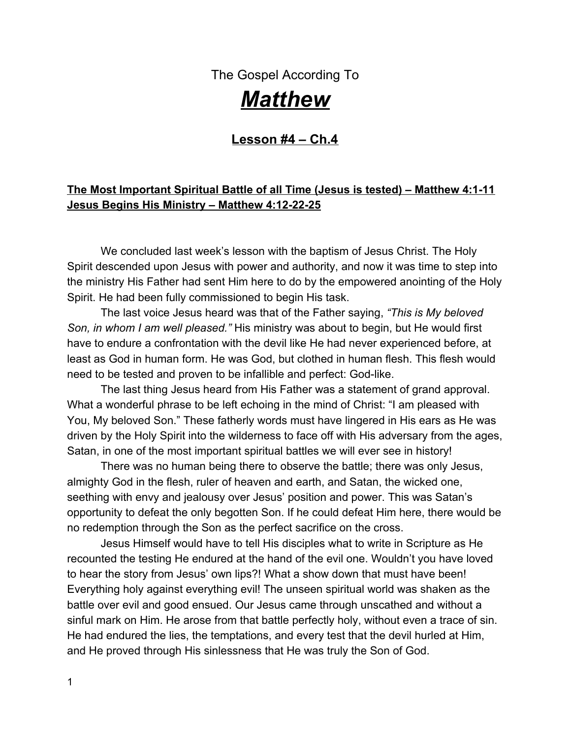Jesus was calling the whole world to do an about-face. He wanted them to repent of their sin and begin worshipping God once again. His plan was to start a revival with 12 men. He starts by calling two sets of brothers: Peter and Andrew, James and John.

### The Call to be Fishers of Men – Matthew 4:19-22

Jesus called rough-and-tough men like Peter and Andrew to be His disciples. They already knew Jesus and had put their faith in the Savior (Matthew omits that part of the story in his gospel, you can find it in John 1:35-51), but now Jesus was calling them to service.

These men had little education or training. They were the workforce of their world. They were often selfish and inhospitable. They wanted to send the multitudes away when it became late, and Jesus' teaching went long; everyone was hungry. They shooed the children away at a time when Jesus said, "Let the children come unto Me" (Mat. 19:13-14). They were just your everyday folk. He promised to make them fishers of men…true evangelists!

20. One poll said that 95% of believers have never led anyone to Christ. I wonder if that is true. Have you personally led someone to Jesus?

\_\_\_\_\_\_\_\_\_\_\_\_\_\_\_\_\_\_\_\_\_\_\_\_\_\_\_\_\_\_\_\_\_\_\_\_\_\_\_\_\_\_\_\_\_\_\_\_\_\_\_\_\_\_\_\_\_\_\_\_\_\_**\_\_\_\_\_\_\_\_**

21. If you never have had that privilege, take a moment and pray for that one you know you would love to see come to faith in Christ, and then pray that the Lord would allow YOU the privilege to be the one to lead them there! Who are you praying about?

\_\_\_\_\_\_\_\_\_\_\_\_\_\_\_\_\_\_\_\_\_\_\_\_\_\_\_\_\_\_\_\_\_\_\_\_\_\_\_\_\_\_\_\_\_\_\_\_\_\_\_\_\_\_\_\_\_\_\_\_\_\_\_\_\_\_\_\_\_

*Billy Graham once said, "The evangelist harvest is always urgent. The destiny of men and of nations is always being decided. Every generation is strategic. We are not responsible for the past generation, and we cannot bear the full responsibility for the next one; but we do have our generation. God will hold us responsible as to how well we fulfill our responsibilities to this age and take advantage of our opportunities."*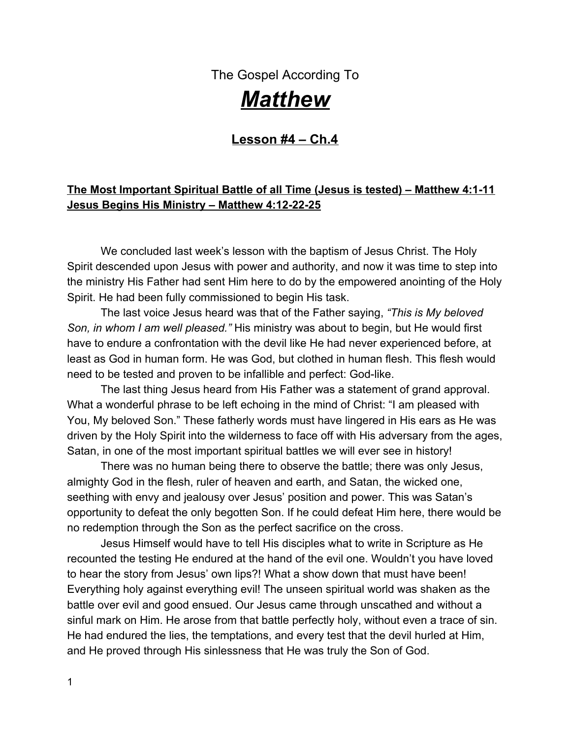22. Are you using all the gifts God has given you to point people to Jesus?

If every generation is strategic, then that means your life is strategic, too! I wonder who God had intended you and I to witness to in these last few years. Has there been a family member that wouldn't have been prayed over if you hadn't have done it? That's a sobering thought, isn't it?

If you are like me- and I'm sure we have the same tendencies- then you will have had the experience where you pray really hard for someone, and then after time goes by and life gets consuming, we slowly forget. Take the time today to rekindle that passion to pray for those souls once again.

List their names here for a personal reminder:

Oh Lord, \_\_\_\_\_\_\_\_\_\_\_\_\_\_\_\_\_\_\_\_\_\_\_ needs salvation. Bring them to a knowledge and commitment to You!

| ٠             |  |
|---------------|--|
| ⌒<br>$\angle$ |  |
| າ<br>٠.       |  |

At the end of chapter 4 of Matthew, Jesus goes about all of Galilee, teaching and preaching the gospel of the Kingdom and healing all kinds of disease and sickness. His fame went throughout all Syria (v.24). Great multitudes began following Him. The love for Jesus began to circulate all around the known world.

When we open up our next lesson on Matthew Ch.5 we will see Jesus teaching a huge following of people on many different subjects. These teachings are commonly known as "The Sermon on the Mount." Until then, have a blessed week in Christ!

### *Wrapping it up and making it personal!*

As we went through the story of the greatest spiritual battle ever fought between Satan and Jesus, I was reminded of how easy it is for me to be deceived by Satan's cunning lies. I have noticed that some of my greatest lows come after my greatest